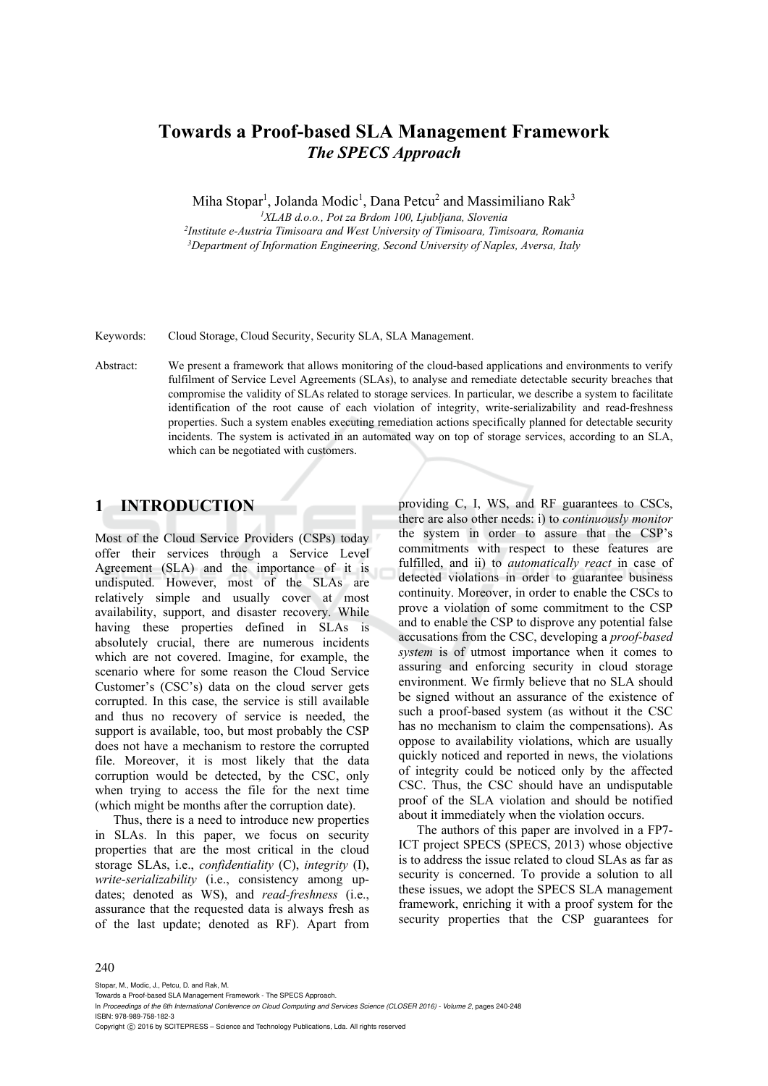# **Towards a Proof-based SLA Management Framework**  *The SPECS Approach*

Miha Stopar<sup>1</sup>, Jolanda Modic<sup>1</sup>, Dana Petcu<sup>2</sup> and Massimiliano Rak<sup>3</sup>

<sup>1</sup>XLAB d.o.o., Pot za Brdom 100, Ljubljana, Slovenia<br><sup>2</sup>Institute e-Austria Timisoara and West University of Timisoara, Timisoara, Romania<sup>3</sup>Department of Information Engineering, Second University of Naples, Aversa, Ita

Keywords: Cloud Storage, Cloud Security, Security SLA, SLA Management.

Abstract: We present a framework that allows monitoring of the cloud-based applications and environments to verify fulfilment of Service Level Agreements (SLAs), to analyse and remediate detectable security breaches that compromise the validity of SLAs related to storage services. In particular, we describe a system to facilitate identification of the root cause of each violation of integrity, write-serializability and read-freshness properties. Such a system enables executing remediation actions specifically planned for detectable security incidents. The system is activated in an automated way on top of storage services, according to an SLA, which can be negotiated with customers.

# **1 INTRODUCTION**

Most of the Cloud Service Providers (CSPs) today offer their services through a Service Level Agreement (SLA) and the importance of it is undisputed. However, most of the SLAs are relatively simple and usually cover at most availability, support, and disaster recovery. While having these properties defined in SLAs is absolutely crucial, there are numerous incidents which are not covered. Imagine, for example, the scenario where for some reason the Cloud Service Customer's (CSC's) data on the cloud server gets corrupted. In this case, the service is still available and thus no recovery of service is needed, the support is available, too, but most probably the CSP does not have a mechanism to restore the corrupted file. Moreover, it is most likely that the data corruption would be detected, by the CSC, only when trying to access the file for the next time (which might be months after the corruption date).

Thus, there is a need to introduce new properties in SLAs. In this paper, we focus on security properties that are the most critical in the cloud storage SLAs, i.e., *confidentiality* (C), *integrity* (I), *write-serializability* (i.e., consistency among updates; denoted as WS), and *read-freshness* (i.e., assurance that the requested data is always fresh as of the last update; denoted as RF). Apart from

providing C, I, WS, and RF guarantees to CSCs, there are also other needs: i) to *continuously monitor*  the system in order to assure that the CSP's commitments with respect to these features are fulfilled, and ii) to *automatically react* in case of detected violations in order to guarantee business continuity. Moreover, in order to enable the CSCs to prove a violation of some commitment to the CSP and to enable the CSP to disprove any potential false accusations from the CSC, developing a *proof-based system* is of utmost importance when it comes to assuring and enforcing security in cloud storage environment. We firmly believe that no SLA should be signed without an assurance of the existence of such a proof-based system (as without it the CSC has no mechanism to claim the compensations). As oppose to availability violations, which are usually quickly noticed and reported in news, the violations of integrity could be noticed only by the affected CSC. Thus, the CSC should have an undisputable proof of the SLA violation and should be notified about it immediately when the violation occurs.

The authors of this paper are involved in a FP7- ICT project SPECS (SPECS, 2013) whose objective is to address the issue related to cloud SLAs as far as security is concerned. To provide a solution to all these issues, we adopt the SPECS SLA management framework, enriching it with a proof system for the security properties that the CSP guarantees for

#### 240

Stopar, M., Modic, J., Petcu, D. and Rak, M.

In *Proceedings of the 6th International Conference on Cloud Computing and Services Science (CLOSER 2016) - Volume 2*, pages 240-248 ISBN: 978-989-758-182-3

Copyright C 2016 by SCITEPRESS – Science and Technology Publications, Lda. All rights reserved

Towards a Proof-based SLA Management Framework - The SPECS Approach.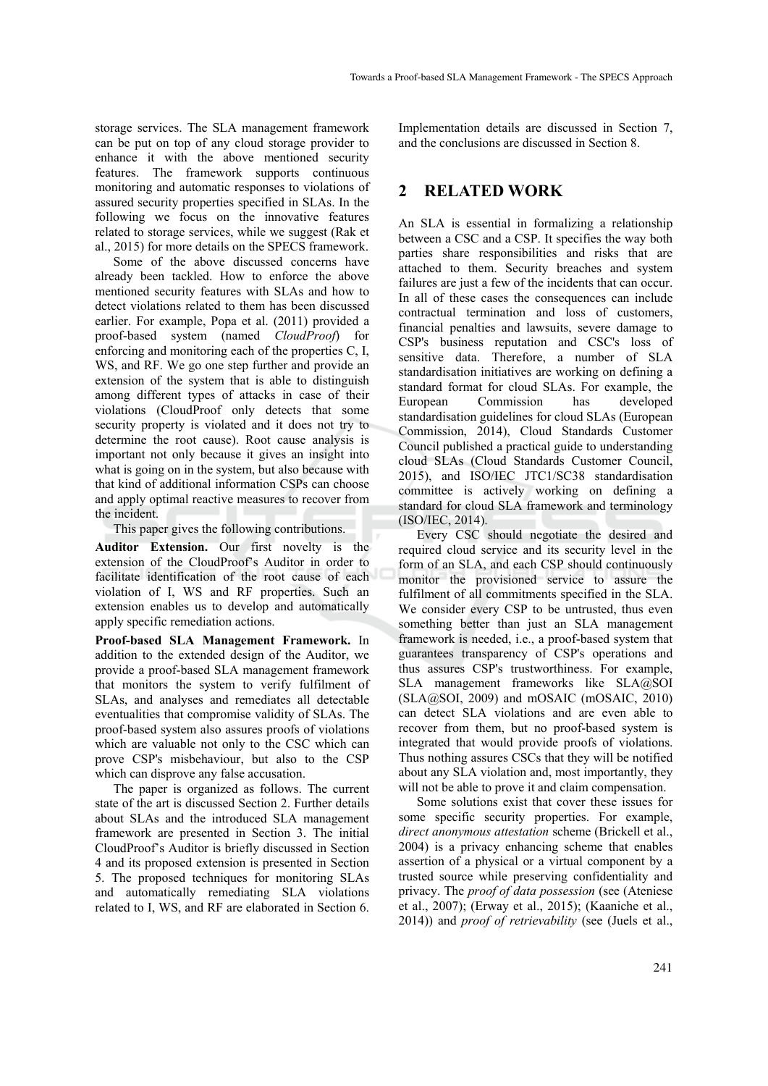storage services. The SLA management framework can be put on top of any cloud storage provider to enhance it with the above mentioned security features. The framework supports continuous monitoring and automatic responses to violations of assured security properties specified in SLAs. In the following we focus on the innovative features related to storage services, while we suggest (Rak et al., 2015) for more details on the SPECS framework.

Some of the above discussed concerns have already been tackled. How to enforce the above mentioned security features with SLAs and how to detect violations related to them has been discussed earlier. For example, Popa et al. (2011) provided a proof-based system (named *CloudProof*) for enforcing and monitoring each of the properties C, I, WS, and RF. We go one step further and provide an extension of the system that is able to distinguish among different types of attacks in case of their violations (CloudProof only detects that some security property is violated and it does not try to determine the root cause). Root cause analysis is important not only because it gives an insight into what is going on in the system, but also because with that kind of additional information CSPs can choose and apply optimal reactive measures to recover from the incident.

This paper gives the following contributions.

**Auditor Extension.** Our first novelty is the extension of the CloudProof's Auditor in order to facilitate identification of the root cause of each violation of I, WS and RF properties. Such an extension enables us to develop and automatically apply specific remediation actions.

**Proof-based SLA Management Framework.** In addition to the extended design of the Auditor, we provide a proof-based SLA management framework that monitors the system to verify fulfilment of SLAs, and analyses and remediates all detectable eventualities that compromise validity of SLAs. The proof-based system also assures proofs of violations which are valuable not only to the CSC which can prove CSP's misbehaviour, but also to the CSP which can disprove any false accusation.

The paper is organized as follows. The current state of the art is discussed Section 2. Further details about SLAs and the introduced SLA management framework are presented in Section 3. The initial CloudProof's Auditor is briefly discussed in Section 4 and its proposed extension is presented in Section 5. The proposed techniques for monitoring SLAs and automatically remediating SLA violations related to I, WS, and RF are elaborated in Section 6.

Implementation details are discussed in Section 7, and the conclusions are discussed in Section 8.

# **2 RELATED WORK**

An SLA is essential in formalizing a relationship between a CSC and a CSP. It specifies the way both parties share responsibilities and risks that are attached to them. Security breaches and system failures are just a few of the incidents that can occur. In all of these cases the consequences can include contractual termination and loss of customers, financial penalties and lawsuits, severe damage to CSP's business reputation and CSC's loss of sensitive data. Therefore, a number of SLA standardisation initiatives are working on defining a standard format for cloud SLAs. For example, the European Commission has developed standardisation guidelines for cloud SLAs (European Commission, 2014), Cloud Standards Customer Council published a practical guide to understanding cloud SLAs (Cloud Standards Customer Council, 2015), and ISO/IEC JTC1/SC38 standardisation committee is actively working on defining a standard for cloud SLA framework and terminology (ISO/IEC, 2014).

Every CSC should negotiate the desired and required cloud service and its security level in the form of an SLA, and each CSP should continuously monitor the provisioned service to assure the fulfilment of all commitments specified in the SLA. We consider every CSP to be untrusted, thus even something better than just an SLA management framework is needed, i.e., a proof-based system that guarantees transparency of CSP's operations and thus assures CSP's trustworthiness. For example, SLA management frameworks like SLA@SOI  $(SLA@SOI, 2009)$  and mOSAIC (mOSAIC, 2010) can detect SLA violations and are even able to recover from them, but no proof-based system is integrated that would provide proofs of violations. Thus nothing assures CSCs that they will be notified about any SLA violation and, most importantly, they will not be able to prove it and claim compensation.

Some solutions exist that cover these issues for some specific security properties. For example, *direct anonymous attestation* scheme (Brickell et al., 2004) is a privacy enhancing scheme that enables assertion of a physical or a virtual component by a trusted source while preserving confidentiality and privacy. The *proof of data possession* (see (Ateniese et al., 2007); (Erway et al., 2015); (Kaaniche et al., 2014)) and *proof of retrievability* (see (Juels et al.,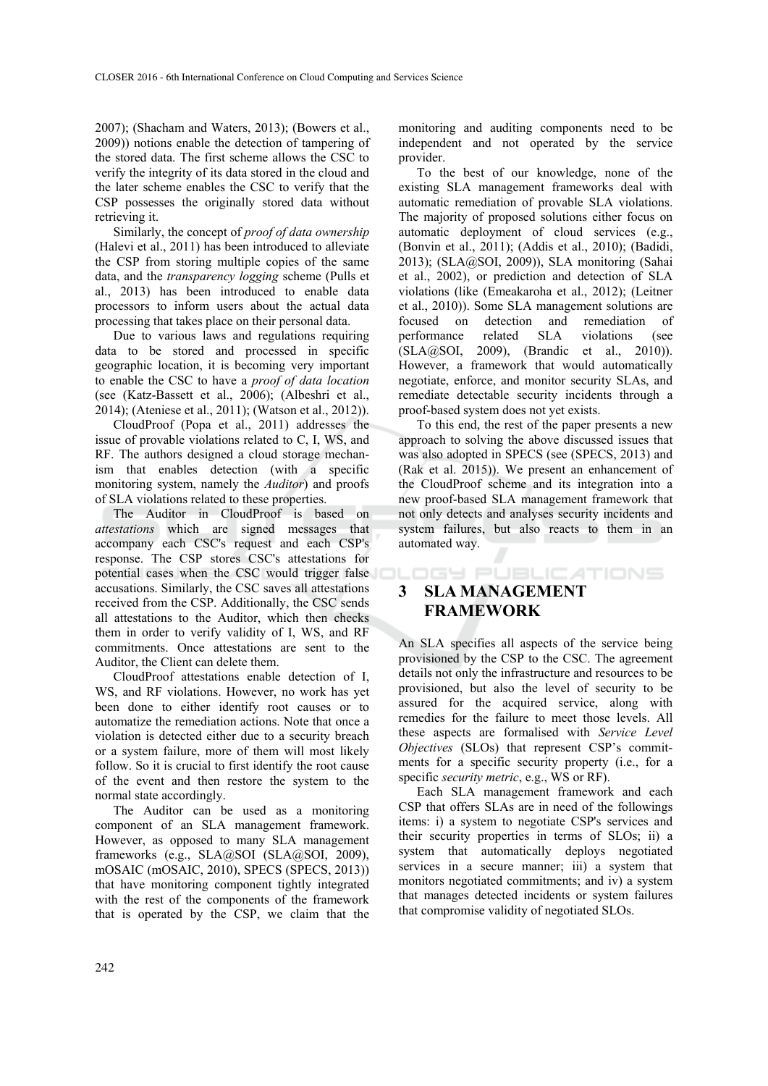2007); (Shacham and Waters, 2013); (Bowers et al., 2009)) notions enable the detection of tampering of the stored data. The first scheme allows the CSC to verify the integrity of its data stored in the cloud and the later scheme enables the CSC to verify that the CSP possesses the originally stored data without retrieving it.

Similarly, the concept of *proof of data ownership* (Halevi et al., 2011) has been introduced to alleviate the CSP from storing multiple copies of the same data, and the *transparency logging* scheme (Pulls et al., 2013) has been introduced to enable data processors to inform users about the actual data processing that takes place on their personal data.

Due to various laws and regulations requiring data to be stored and processed in specific geographic location, it is becoming very important to enable the CSC to have a *proof of data location* (see (Katz-Bassett et al., 2006); (Albeshri et al., 2014); (Ateniese et al., 2011); (Watson et al., 2012)).

CloudProof (Popa et al., 2011) addresses the issue of provable violations related to C, I, WS, and RF. The authors designed a cloud storage mechanism that enables detection (with a specific monitoring system, namely the *Auditor*) and proofs of SLA violations related to these properties.

The Auditor in CloudProof is based on *attestations* which are signed messages that accompany each CSC's request and each CSP's response. The CSP stores CSC's attestations for potential cases when the CSC would trigger false accusations. Similarly, the CSC saves all attestations received from the CSP. Additionally, the CSC sends all attestations to the Auditor, which then checks them in order to verify validity of I, WS, and RF commitments. Once attestations are sent to the Auditor, the Client can delete them.

CloudProof attestations enable detection of I, WS, and RF violations. However, no work has yet been done to either identify root causes or to automatize the remediation actions. Note that once a violation is detected either due to a security breach or a system failure, more of them will most likely follow. So it is crucial to first identify the root cause of the event and then restore the system to the normal state accordingly.

The Auditor can be used as a monitoring component of an SLA management framework. However, as opposed to many SLA management frameworks (e.g., SLA@SOI (SLA@SOI, 2009), mOSAIC (mOSAIC, 2010), SPECS (SPECS, 2013)) that have monitoring component tightly integrated with the rest of the components of the framework that is operated by the CSP, we claim that the

monitoring and auditing components need to be independent and not operated by the service provider.

To the best of our knowledge, none of the existing SLA management frameworks deal with automatic remediation of provable SLA violations. The majority of proposed solutions either focus on automatic deployment of cloud services (e.g., (Bonvin et al., 2011); (Addis et al., 2010); (Badidi, 2013); (SLA@SOI, 2009)), SLA monitoring (Sahai et al., 2002), or prediction and detection of SLA violations (like (Emeakaroha et al., 2012); (Leitner et al., 2010)). Some SLA management solutions are focused on detection and remediation of performance related SLA violations (see (SLA@SOI, 2009), (Brandic et al., 2010)). However, a framework that would automatically negotiate, enforce, and monitor security SLAs, and remediate detectable security incidents through a proof-based system does not yet exists.

To this end, the rest of the paper presents a new approach to solving the above discussed issues that was also adopted in SPECS (see (SPECS, 2013) and (Rak et al. 2015)). We present an enhancement of the CloudProof scheme and its integration into a new proof-based SLA management framework that not only detects and analyses security incidents and system failures, but also reacts to them in an automated way.

OGY PUBLICATIONS

# **3 SLA MANAGEMENT FRAMEWORK**

An SLA specifies all aspects of the service being provisioned by the CSP to the CSC. The agreement details not only the infrastructure and resources to be provisioned, but also the level of security to be assured for the acquired service, along with remedies for the failure to meet those levels. All these aspects are formalised with *Service Level Objectives* (SLOs) that represent CSP's commitments for a specific security property (i.e., for a specific *security metric*, e.g., WS or RF).

Each SLA management framework and each CSP that offers SLAs are in need of the followings items: i) a system to negotiate CSP's services and their security properties in terms of SLOs; ii) a system that automatically deploys negotiated services in a secure manner; iii) a system that monitors negotiated commitments; and iv) a system that manages detected incidents or system failures that compromise validity of negotiated SLOs.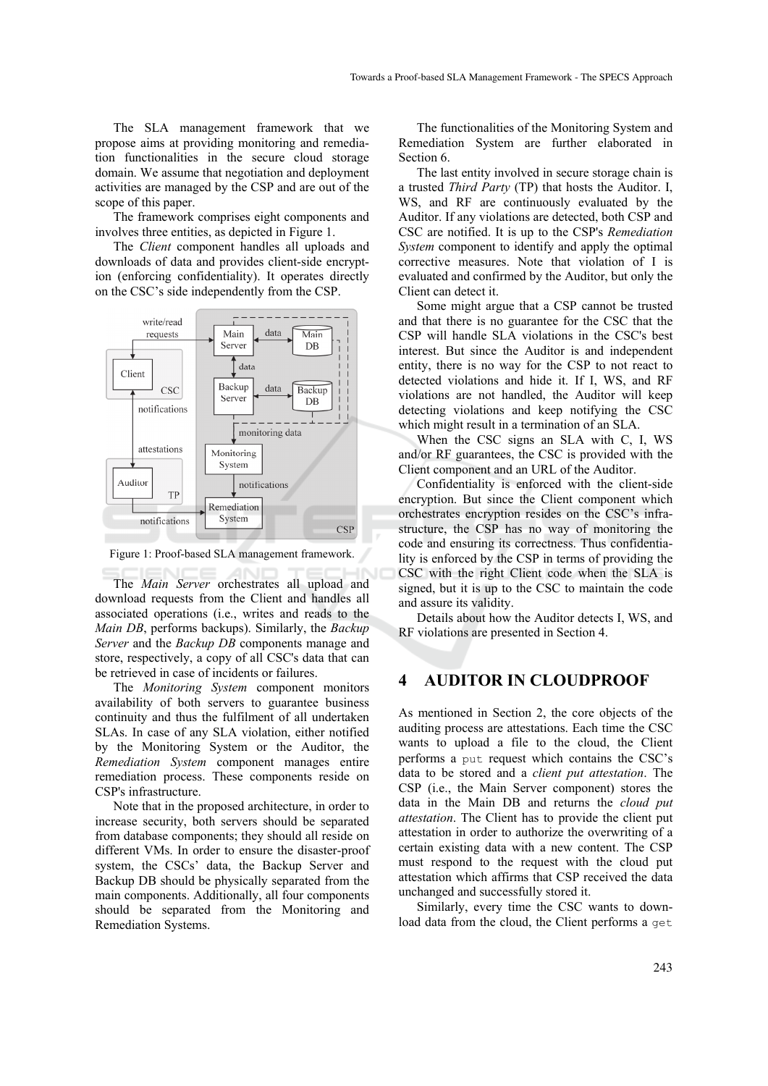The SLA management framework that we propose aims at providing monitoring and remediation functionalities in the secure cloud storage domain. We assume that negotiation and deployment activities are managed by the CSP and are out of the scope of this paper.

The framework comprises eight components and involves three entities, as depicted in Figure 1.

The *Client* component handles all uploads and downloads of data and provides client-side encryption (enforcing confidentiality). It operates directly on the CSC's side independently from the CSP.



Figure 1: Proof-based SLA management framework.

The *Main Server* orchestrates all upload and download requests from the Client and handles all associated operations (i.e., writes and reads to the *Main DB*, performs backups). Similarly, the *Backup Server* and the *Backup DB* components manage and store, respectively, a copy of all CSC's data that can be retrieved in case of incidents or failures.

The *Monitoring System* component monitors availability of both servers to guarantee business continuity and thus the fulfilment of all undertaken SLAs. In case of any SLA violation, either notified by the Monitoring System or the Auditor, the *Remediation System* component manages entire remediation process. These components reside on CSP's infrastructure.

Note that in the proposed architecture, in order to increase security, both servers should be separated from database components; they should all reside on different VMs. In order to ensure the disaster-proof system, the CSCs' data, the Backup Server and Backup DB should be physically separated from the main components. Additionally, all four components should be separated from the Monitoring and Remediation Systems.

The functionalities of the Monitoring System and Remediation System are further elaborated in Section 6.

The last entity involved in secure storage chain is a trusted *Third Party* (TP) that hosts the Auditor. I, WS, and RF are continuously evaluated by the Auditor. If any violations are detected, both CSP and CSC are notified. It is up to the CSP's *Remediation System* component to identify and apply the optimal corrective measures. Note that violation of I is evaluated and confirmed by the Auditor, but only the Client can detect it.

Some might argue that a CSP cannot be trusted and that there is no guarantee for the CSC that the CSP will handle SLA violations in the CSC's best interest. But since the Auditor is and independent entity, there is no way for the CSP to not react to detected violations and hide it. If I, WS, and RF violations are not handled, the Auditor will keep detecting violations and keep notifying the CSC which might result in a termination of an SLA.

When the CSC signs an SLA with C, I, WS and/or RF guarantees, the CSC is provided with the Client component and an URL of the Auditor.

Confidentiality is enforced with the client-side encryption. But since the Client component which orchestrates encryption resides on the CSC's infrastructure, the CSP has no way of monitoring the code and ensuring its correctness. Thus confidentiality is enforced by the CSP in terms of providing the CSC with the right Client code when the SLA is signed, but it is up to the CSC to maintain the code and assure its validity.

Details about how the Auditor detects I, WS, and RF violations are presented in Section 4.

#### **4 AUDITOR IN CLOUDPROOF**

As mentioned in Section 2, the core objects of the auditing process are attestations. Each time the CSC wants to upload a file to the cloud, the Client performs a put request which contains the CSC's data to be stored and a *client put attestation*. The CSP (i.e., the Main Server component) stores the data in the Main DB and returns the *cloud put attestation*. The Client has to provide the client put attestation in order to authorize the overwriting of a certain existing data with a new content. The CSP must respond to the request with the cloud put attestation which affirms that CSP received the data unchanged and successfully stored it.

Similarly, every time the CSC wants to download data from the cloud, the Client performs a get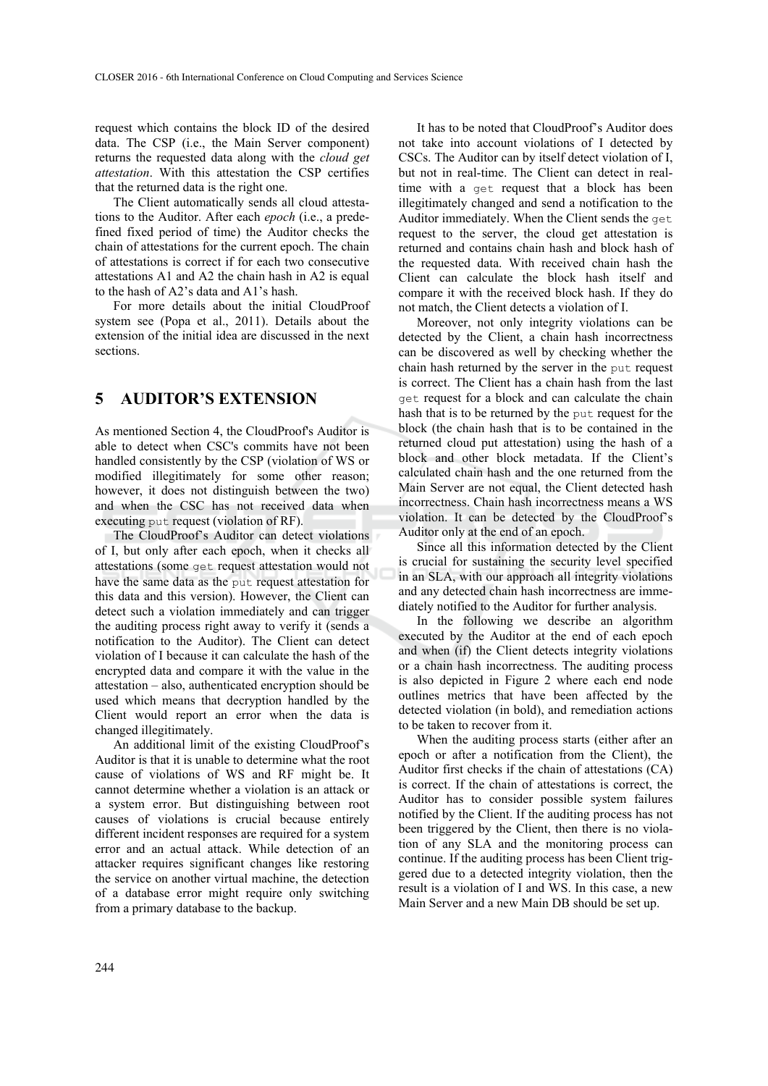request which contains the block ID of the desired data. The CSP (i.e., the Main Server component) returns the requested data along with the *cloud get attestation*. With this attestation the CSP certifies that the returned data is the right one.

The Client automatically sends all cloud attestations to the Auditor. After each *epoch* (i.e., a predefined fixed period of time) the Auditor checks the chain of attestations for the current epoch. The chain of attestations is correct if for each two consecutive attestations A1 and A2 the chain hash in A2 is equal to the hash of A2's data and A1's hash.

For more details about the initial CloudProof system see (Popa et al., 2011). Details about the extension of the initial idea are discussed in the next sections.

# **5 AUDITOR'S EXTENSION**

As mentioned Section 4, the CloudProof's Auditor is able to detect when CSC's commits have not been handled consistently by the CSP (violation of WS or modified illegitimately for some other reason; however, it does not distinguish between the two) and when the CSC has not received data when executing put request (violation of RF).

The CloudProof's Auditor can detect violations of I, but only after each epoch, when it checks all attestations (some get request attestation would not have the same data as the put request attestation for this data and this version). However, the Client can detect such a violation immediately and can trigger the auditing process right away to verify it (sends a notification to the Auditor). The Client can detect violation of I because it can calculate the hash of the encrypted data and compare it with the value in the attestation – also, authenticated encryption should be used which means that decryption handled by the Client would report an error when the data is changed illegitimately.

An additional limit of the existing CloudProof's Auditor is that it is unable to determine what the root cause of violations of WS and RF might be. It cannot determine whether a violation is an attack or a system error. But distinguishing between root causes of violations is crucial because entirely different incident responses are required for a system error and an actual attack. While detection of an attacker requires significant changes like restoring the service on another virtual machine, the detection of a database error might require only switching from a primary database to the backup.

It has to be noted that CloudProof's Auditor does not take into account violations of I detected by CSCs. The Auditor can by itself detect violation of I, but not in real-time. The Client can detect in realtime with a get request that a block has been illegitimately changed and send a notification to the Auditor immediately. When the Client sends the get request to the server, the cloud get attestation is returned and contains chain hash and block hash of the requested data. With received chain hash the Client can calculate the block hash itself and compare it with the received block hash. If they do not match, the Client detects a violation of I.

Moreover, not only integrity violations can be detected by the Client, a chain hash incorrectness can be discovered as well by checking whether the chain hash returned by the server in the put request is correct. The Client has a chain hash from the last get request for a block and can calculate the chain hash that is to be returned by the put request for the block (the chain hash that is to be contained in the returned cloud put attestation) using the hash of a block and other block metadata. If the Client's calculated chain hash and the one returned from the Main Server are not equal, the Client detected hash incorrectness. Chain hash incorrectness means a WS violation. It can be detected by the CloudProof's Auditor only at the end of an epoch.

Since all this information detected by the Client is crucial for sustaining the security level specified in an SLA, with our approach all integrity violations and any detected chain hash incorrectness are immediately notified to the Auditor for further analysis.

In the following we describe an algorithm executed by the Auditor at the end of each epoch and when (if) the Client detects integrity violations or a chain hash incorrectness. The auditing process is also depicted in Figure 2 where each end node outlines metrics that have been affected by the detected violation (in bold), and remediation actions to be taken to recover from it.

When the auditing process starts (either after an epoch or after a notification from the Client), the Auditor first checks if the chain of attestations (CA) is correct. If the chain of attestations is correct, the Auditor has to consider possible system failures notified by the Client. If the auditing process has not been triggered by the Client, then there is no violation of any SLA and the monitoring process can continue. If the auditing process has been Client triggered due to a detected integrity violation, then the result is a violation of I and WS. In this case, a new Main Server and a new Main DB should be set up.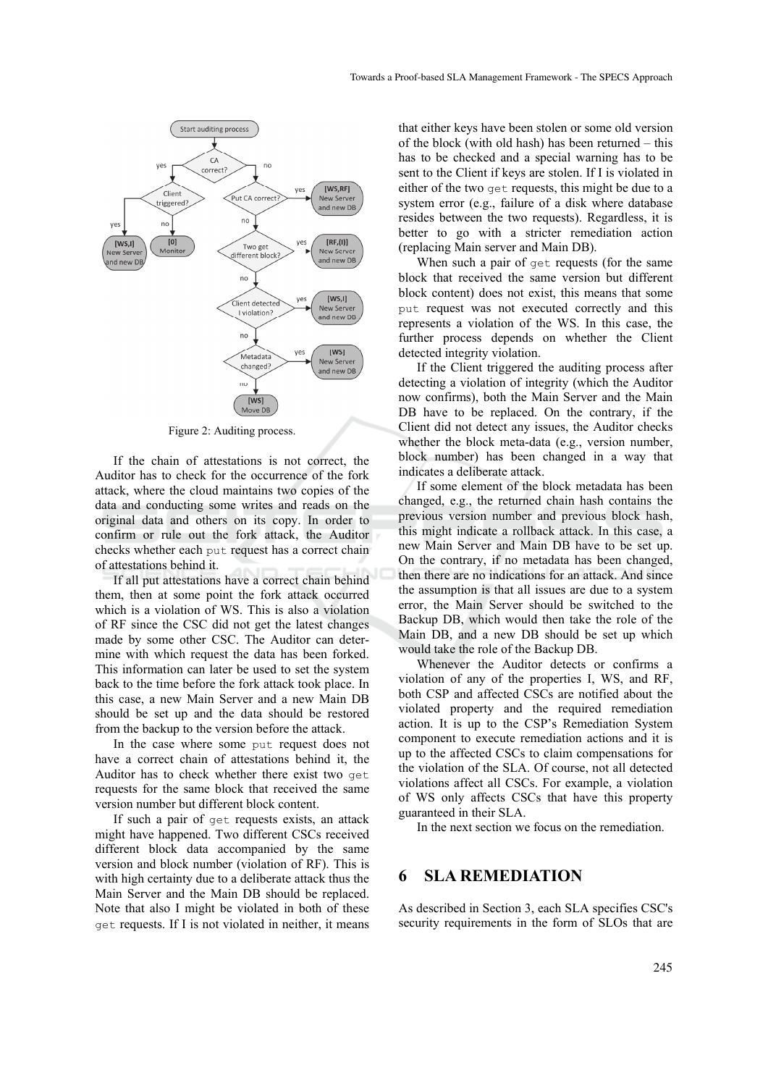

Figure 2: Auditing process.

If the chain of attestations is not correct, the Auditor has to check for the occurrence of the fork attack, where the cloud maintains two copies of the data and conducting some writes and reads on the original data and others on its copy. In order to confirm or rule out the fork attack, the Auditor checks whether each put request has a correct chain of attestations behind it.

If all put attestations have a correct chain behind them, then at some point the fork attack occurred which is a violation of WS. This is also a violation of RF since the CSC did not get the latest changes made by some other CSC. The Auditor can determine with which request the data has been forked. This information can later be used to set the system back to the time before the fork attack took place. In this case, a new Main Server and a new Main DB should be set up and the data should be restored from the backup to the version before the attack.

In the case where some put request does not have a correct chain of attestations behind it, the Auditor has to check whether there exist two get requests for the same block that received the same version number but different block content.

If such a pair of get requests exists, an attack might have happened. Two different CSCs received different block data accompanied by the same version and block number (violation of RF). This is with high certainty due to a deliberate attack thus the Main Server and the Main DB should be replaced. Note that also I might be violated in both of these get requests. If I is not violated in neither, it means

that either keys have been stolen or some old version of the block (with old hash) has been returned – this has to be checked and a special warning has to be sent to the Client if keys are stolen. If I is violated in either of the two get requests, this might be due to a system error (e.g., failure of a disk where database resides between the two requests). Regardless, it is better to go with a stricter remediation action (replacing Main server and Main DB).

When such a pair of get requests (for the same block that received the same version but different block content) does not exist, this means that some put request was not executed correctly and this represents a violation of the WS. In this case, the further process depends on whether the Client detected integrity violation.

If the Client triggered the auditing process after detecting a violation of integrity (which the Auditor now confirms), both the Main Server and the Main DB have to be replaced. On the contrary, if the Client did not detect any issues, the Auditor checks whether the block meta-data (e.g., version number, block number) has been changed in a way that indicates a deliberate attack.

If some element of the block metadata has been changed, e.g., the returned chain hash contains the previous version number and previous block hash, this might indicate a rollback attack. In this case, a new Main Server and Main DB have to be set up. On the contrary, if no metadata has been changed, then there are no indications for an attack. And since the assumption is that all issues are due to a system error, the Main Server should be switched to the Backup DB, which would then take the role of the Main DB, and a new DB should be set up which would take the role of the Backup DB.

Whenever the Auditor detects or confirms a violation of any of the properties I, WS, and RF, both CSP and affected CSCs are notified about the violated property and the required remediation action. It is up to the CSP's Remediation System component to execute remediation actions and it is up to the affected CSCs to claim compensations for the violation of the SLA. Of course, not all detected violations affect all CSCs. For example, a violation of WS only affects CSCs that have this property guaranteed in their SLA.

In the next section we focus on the remediation.

# **6 SLA REMEDIATION**

As described in Section 3, each SLA specifies CSC's security requirements in the form of SLOs that are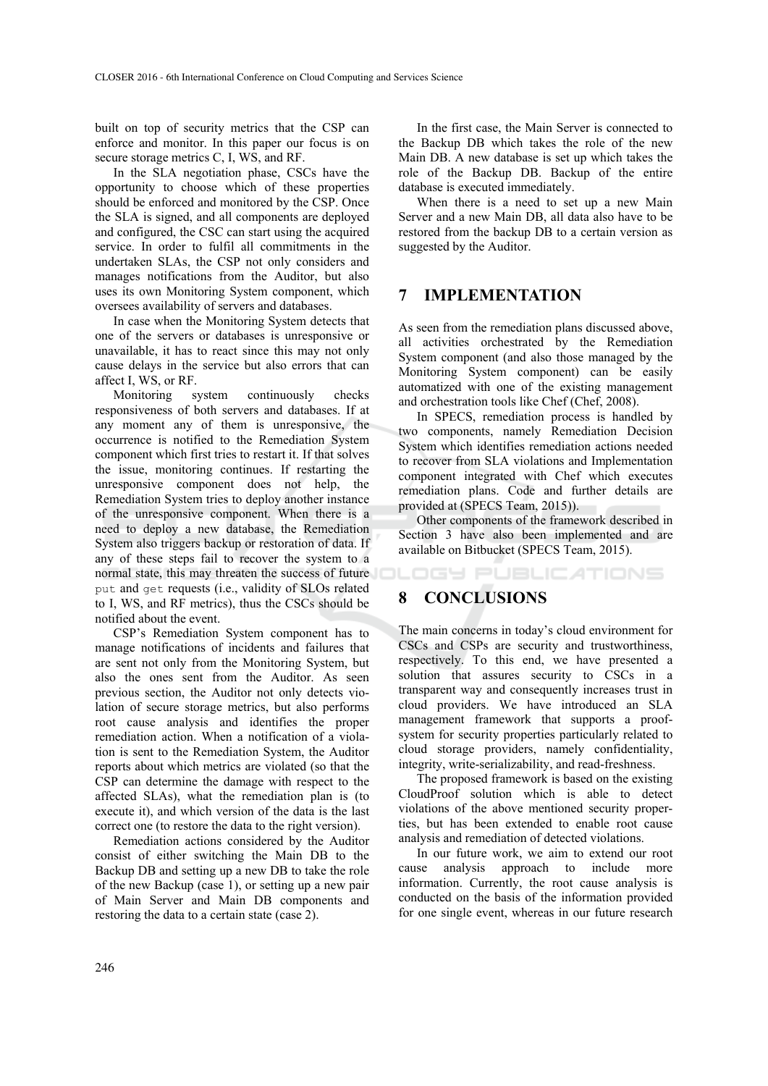built on top of security metrics that the CSP can enforce and monitor. In this paper our focus is on secure storage metrics C, I, WS, and RF.

In the SLA negotiation phase, CSCs have the opportunity to choose which of these properties should be enforced and monitored by the CSP. Once the SLA is signed, and all components are deployed and configured, the CSC can start using the acquired service. In order to fulfil all commitments in the undertaken SLAs, the CSP not only considers and manages notifications from the Auditor, but also uses its own Monitoring System component, which oversees availability of servers and databases.

In case when the Monitoring System detects that one of the servers or databases is unresponsive or unavailable, it has to react since this may not only cause delays in the service but also errors that can affect I, WS, or RF.

Monitoring system continuously checks responsiveness of both servers and databases. If at any moment any of them is unresponsive, the occurrence is notified to the Remediation System component which first tries to restart it. If that solves the issue, monitoring continues. If restarting the unresponsive component does not help, the Remediation System tries to deploy another instance of the unresponsive component. When there is a need to deploy a new database, the Remediation System also triggers backup or restoration of data. If any of these steps fail to recover the system to a normal state, this may threaten the success of future put and get requests (i.e., validity of SLOs related to I, WS, and RF metrics), thus the CSCs should be notified about the event.

CSP's Remediation System component has to manage notifications of incidents and failures that are sent not only from the Monitoring System, but also the ones sent from the Auditor. As seen previous section, the Auditor not only detects violation of secure storage metrics, but also performs root cause analysis and identifies the proper remediation action. When a notification of a violation is sent to the Remediation System, the Auditor reports about which metrics are violated (so that the CSP can determine the damage with respect to the affected SLAs), what the remediation plan is (to execute it), and which version of the data is the last correct one (to restore the data to the right version).

Remediation actions considered by the Auditor consist of either switching the Main DB to the Backup DB and setting up a new DB to take the role of the new Backup (case 1), or setting up a new pair of Main Server and Main DB components and restoring the data to a certain state (case 2).

In the first case, the Main Server is connected to the Backup DB which takes the role of the new Main DB. A new database is set up which takes the role of the Backup DB. Backup of the entire database is executed immediately.

When there is a need to set up a new Main Server and a new Main DB, all data also have to be restored from the backup DB to a certain version as suggested by the Auditor.

## **7 IMPLEMENTATION**

As seen from the remediation plans discussed above, all activities orchestrated by the Remediation System component (and also those managed by the Monitoring System component) can be easily automatized with one of the existing management and orchestration tools like Chef (Chef, 2008).

In SPECS, remediation process is handled by two components, namely Remediation Decision System which identifies remediation actions needed to recover from SLA violations and Implementation component integrated with Chef which executes remediation plans. Code and further details are provided at (SPECS Team, 2015)).

Other components of the framework described in Section 3 have also been implemented and are available on Bitbucket (SPECS Team, 2015).

IGY PUBLIC ATIONS

### **8 CONCLUSIONS**

The main concerns in today's cloud environment for CSCs and CSPs are security and trustworthiness, respectively. To this end, we have presented a solution that assures security to CSCs in a transparent way and consequently increases trust in cloud providers. We have introduced an SLA management framework that supports a proofsystem for security properties particularly related to cloud storage providers, namely confidentiality, integrity, write-serializability, and read-freshness.

The proposed framework is based on the existing CloudProof solution which is able to detect violations of the above mentioned security properties, but has been extended to enable root cause analysis and remediation of detected violations.

In our future work, we aim to extend our root cause analysis approach to include more information. Currently, the root cause analysis is conducted on the basis of the information provided for one single event, whereas in our future research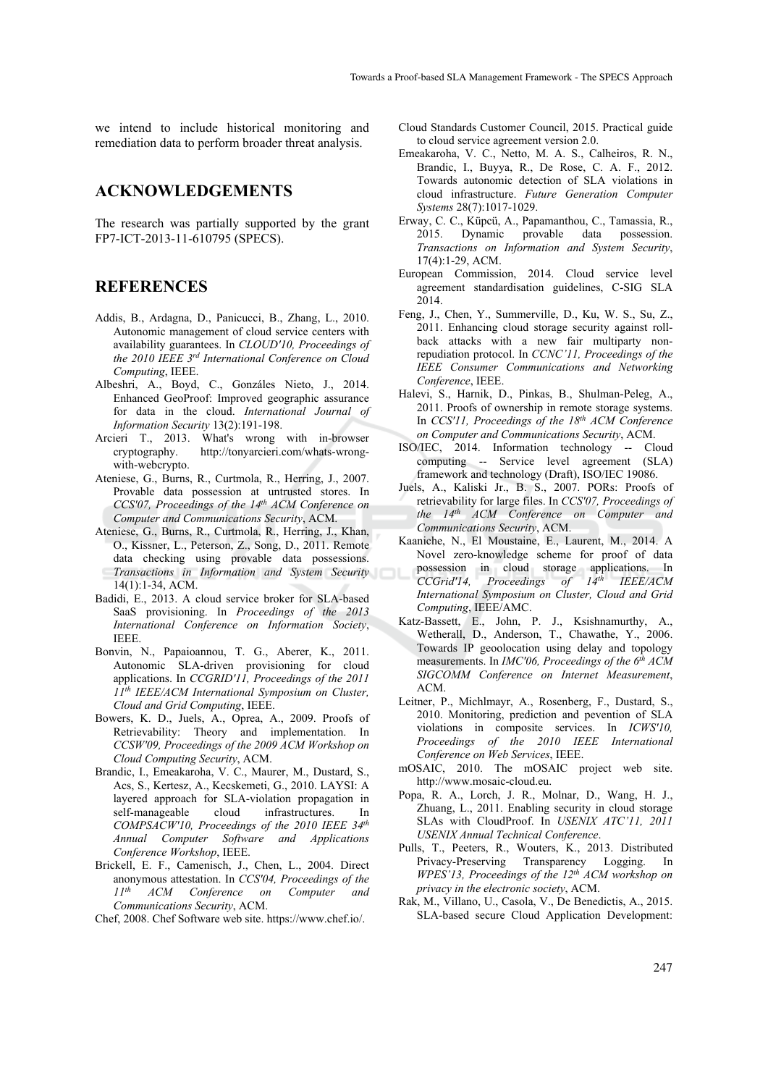we intend to include historical monitoring and remediation data to perform broader threat analysis.

#### **ACKNOWLEDGEMENTS**

The research was partially supported by the grant FP7-ICT-2013-11-610795 (SPECS).

### **REFERENCES**

- Addis, B., Ardagna, D., Panicucci, B., Zhang, L., 2010. Autonomic management of cloud service centers with availability guarantees. In *CLOUD'10, Proceedings of the 2010 IEEE 3rd International Conference on Cloud Computing*, IEEE.
- Albeshri, A., Boyd, C., Gonzáles Nieto, J., 2014. Enhanced GeoProof: Improved geographic assurance for data in the cloud. *International Journal of Information Security* 13(2):191-198.
- Arcieri T., 2013. What's wrong with in-browser cryptography. http://tonyarcieri.com/whats-wrongwith-webcrypto.
- Ateniese, G., Burns, R., Curtmola, R., Herring, J., 2007. Provable data possession at untrusted stores. In *CCS'07, Proceedings of the 14th ACM Conference on Computer and Communications Security*, ACM.
- Ateniese, G., Burns, R., Curtmola, R., Herring, J., Khan, O., Kissner, L., Peterson, Z., Song, D., 2011. Remote data checking using provable data possessions. *Transactions in Information and System Security* 14(1):1-34, ACM.
- Badidi, E., 2013. A cloud service broker for SLA-based SaaS provisioning. In *Proceedings of the 2013 International Conference on Information Society*, IEEE.
- Bonvin, N., Papaioannou, T. G., Aberer, K., 2011. Autonomic SLA-driven provisioning for cloud applications. In *CCGRID'11, Proceedings of the 2011 11th IEEE/ACM International Symposium on Cluster, Cloud and Grid Computing*, IEEE.
- Bowers, K. D., Juels, A., Oprea, A., 2009. Proofs of Retrievability: Theory and implementation. In *CCSW'09, Proceedings of the 2009 ACM Workshop on Cloud Computing Security*, ACM.
- Brandic, I., Emeakaroha, V. C., Maurer, M., Dustard, S., Acs, S., Kertesz, A., Kecskemeti, G., 2010. LAYSI: A layered approach for SLA-violation propagation in self-manageable cloud infrastructures. In *COMPSACW'10, Proceedings of the 2010 IEEE 34th Annual Computer Software and Applications Conference Workshop*, IEEE.
- Brickell, E. F., Camenisch, J., Chen, L., 2004. Direct anonymous attestation. In *CCS'04, Proceedings of the ACM Conference on Computer and Communications Security*, ACM.
- Chef, 2008. Chef Software web site. https://www.chef.io/.
- Cloud Standards Customer Council, 2015. Practical guide to cloud service agreement version 2.0.
- Emeakaroha, V. C., Netto, M. A. S., Calheiros, R. N., Brandic, I., Buyya, R., De Rose, C. A. F., 2012. Towards autonomic detection of SLA violations in cloud infrastructure. *Future Generation Computer Systems* 28(7):1017-1029.
- Erway, C. C., Küpcü, A., Papamanthou, C., Tamassia, R., 2015. Dynamic provable data possession. *Transactions on Information and System Security*, 17(4):1-29, ACM.
- European Commission, 2014. Cloud service level agreement standardisation guidelines, C-SIG SLA 2014.
- Feng, J., Chen, Y., Summerville, D., Ku, W. S., Su, Z., 2011. Enhancing cloud storage security against rollback attacks with a new fair multiparty nonrepudiation protocol. In *CCNC'11, Proceedings of the IEEE Consumer Communications and Networking Conference*, IEEE.
- Halevi, S., Harnik, D., Pinkas, B., Shulman-Peleg, A., 2011. Proofs of ownership in remote storage systems. In *CCS'11, Proceedings of the 18th ACM Conference on Computer and Communications Security*, ACM.
- ISO/IEC, 2014. Information technology -- Cloud computing -- Service level agreement (SLA) framework and technology (Draft), ISO/IEC 19086.
- Juels, A., Kaliski Jr., B. S., 2007. PORs: Proofs of retrievability for large files. In *CCS'07, Proceedings of the 14th ACM Conference on Computer and Communications Security*, ACM.
- Kaaniche, N., El Moustaine, E., Laurent, M., 2014. A Novel zero-knowledge scheme for proof of data possession in cloud storage applications. In *CCGrid'14, Proceedings of 14th IEEE/ACM International Symposium on Cluster, Cloud and Grid Computing*, IEEE/AMC.
- Katz-Bassett, E., John, P. J., Ksishnamurthy, A., Wetherall, D., Anderson, T., Chawathe, Y., 2006. Towards IP geoolocation using delay and topology measurements. In *IMC'06, Proceedings of the 6th ACM SIGCOMM Conference on Internet Measurement*,  $ACM$
- Leitner, P., Michlmayr, A., Rosenberg, F., Dustard, S., 2010. Monitoring, prediction and pevention of SLA violations in composite services. In *ICWS'10, Proceedings of the 2010 IEEE International Conference on Web Services*, IEEE.
- mOSAIC, 2010. The mOSAIC project web site. http://www.mosaic-cloud.eu.
- Popa, R. A., Lorch, J. R., Molnar, D., Wang, H. J., Zhuang, L., 2011. Enabling security in cloud storage SLAs with CloudProof. In *USENIX ATC'11, 2011 USENIX Annual Technical Conference*.
- Pulls, T., Peeters, R., Wouters, K., 2013. Distributed Privacy-Preserving Transparency Logging. In *WPES'13, Proceedings of the 12th ACM workshop on privacy in the electronic society*, ACM.
- Rak, M., Villano, U., Casola, V., De Benedictis, A., 2015. SLA-based secure Cloud Application Development: